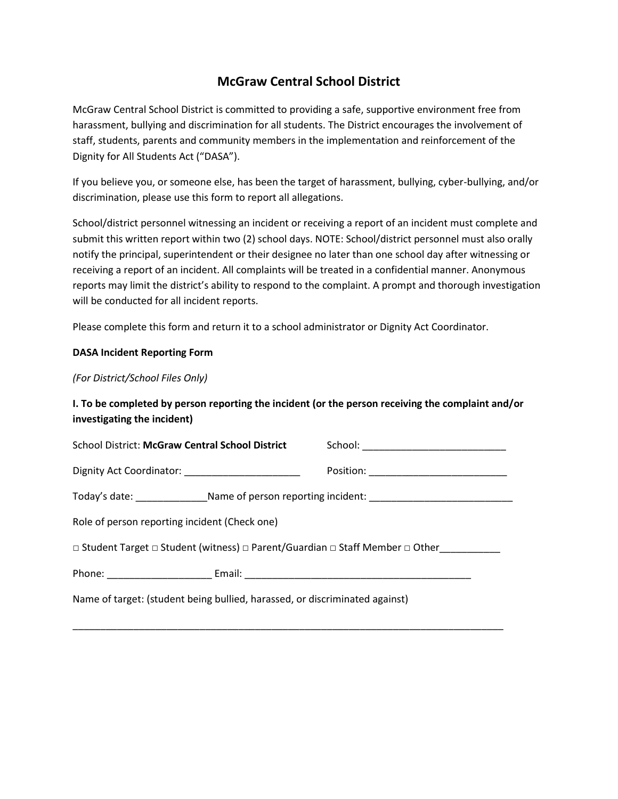## **McGraw Central School District**

McGraw Central School District is committed to providing a safe, supportive environment free from harassment, bullying and discrimination for all students. The District encourages the involvement of staff, students, parents and community members in the implementation and reinforcement of the Dignity for All Students Act ("DASA").

If you believe you, or someone else, has been the target of harassment, bullying, cyber-bullying, and/or discrimination, please use this form to report all allegations.

School/district personnel witnessing an incident or receiving a report of an incident must complete and submit this written report within two (2) school days. NOTE: School/district personnel must also orally notify the principal, superintendent or their designee no later than one school day after witnessing or receiving a report of an incident. All complaints will be treated in a confidential manner. Anonymous reports may limit the district's ability to respond to the complaint. A prompt and thorough investigation will be conducted for all incident reports.

Please complete this form and return it to a school administrator or Dignity Act Coordinator.

## **DASA Incident Reporting Form**

*(For District/School Files Only)*

## **I. To be completed by person reporting the incident (or the person receiving the complaint and/or investigating the incident)**

| <b>School District: McGraw Central School District</b>                                              |  |
|-----------------------------------------------------------------------------------------------------|--|
|                                                                                                     |  |
| Today's date: ___________________Name of person reporting incident: _______________________________ |  |
| Role of person reporting incident (Check one)                                                       |  |
| □ Student Target □ Student (witness) □ Parent/Guardian □ Staff Member □ Other                       |  |
|                                                                                                     |  |
| Name of target: (student being bullied, harassed, or discriminated against)                         |  |

\_\_\_\_\_\_\_\_\_\_\_\_\_\_\_\_\_\_\_\_\_\_\_\_\_\_\_\_\_\_\_\_\_\_\_\_\_\_\_\_\_\_\_\_\_\_\_\_\_\_\_\_\_\_\_\_\_\_\_\_\_\_\_\_\_\_\_\_\_\_\_\_\_\_\_\_\_\_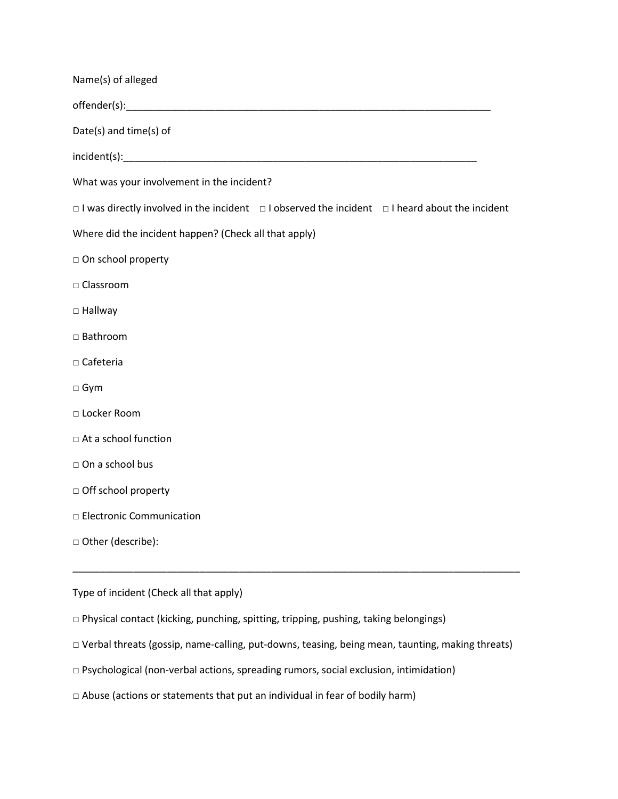| Name(s) of alleged                                                                                              |
|-----------------------------------------------------------------------------------------------------------------|
|                                                                                                                 |
| Date(s) and time(s) of                                                                                          |
|                                                                                                                 |
| What was your involvement in the incident?                                                                      |
| $\Box$ I was directly involved in the incident $\Box$ I observed the incident $\Box$ I heard about the incident |
| Where did the incident happen? (Check all that apply)                                                           |
| □ On school property                                                                                            |
| □ Classroom                                                                                                     |
| □ Hallway                                                                                                       |
| □ Bathroom                                                                                                      |
| $\square$ Cafeteria                                                                                             |
| □ Gym                                                                                                           |
| D Locker Room                                                                                                   |
| □ At a school function                                                                                          |
| □ On a school bus                                                                                               |
| □ Off school property                                                                                           |
| D Electronic Communication                                                                                      |
| □ Other (describe):                                                                                             |
|                                                                                                                 |
| Type of incident (Check all that apply)                                                                         |

- □ Physical contact (kicking, punching, spitting, tripping, pushing, taking belongings)
- □ Verbal threats (gossip, name-calling, put-downs, teasing, being mean, taunting, making threats)
- □ Psychological (non-verbal actions, spreading rumors, social exclusion, intimidation)
- $\Box$  Abuse (actions or statements that put an individual in fear of bodily harm)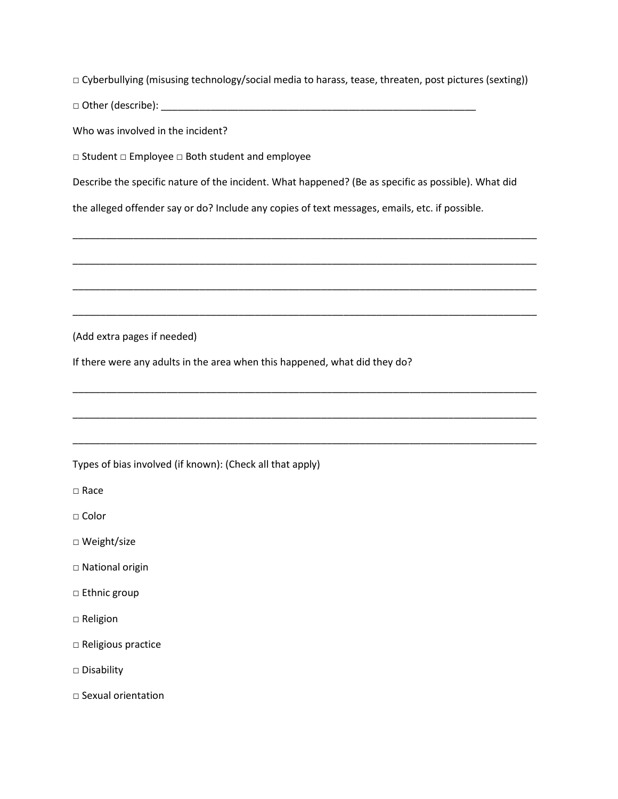□ Cyberbullying (misusing technology/social media to harass, tease, threaten, post pictures (sexting))

 $\Box$  Other (describe):  $\Box$ 

Who was involved in the incident?

□ Student □ Employee □ Both student and employee

Describe the specific nature of the incident. What happened? (Be as specific as possible). What did

\_\_\_\_\_\_\_\_\_\_\_\_\_\_\_\_\_\_\_\_\_\_\_\_\_\_\_\_\_\_\_\_\_\_\_\_\_\_\_\_\_\_\_\_\_\_\_\_\_\_\_\_\_\_\_\_\_\_\_\_\_\_\_\_\_\_\_\_\_\_\_\_\_\_\_\_\_\_\_\_\_\_\_\_

\_\_\_\_\_\_\_\_\_\_\_\_\_\_\_\_\_\_\_\_\_\_\_\_\_\_\_\_\_\_\_\_\_\_\_\_\_\_\_\_\_\_\_\_\_\_\_\_\_\_\_\_\_\_\_\_\_\_\_\_\_\_\_\_\_\_\_\_\_\_\_\_\_\_\_\_\_\_\_\_\_\_\_\_

\_\_\_\_\_\_\_\_\_\_\_\_\_\_\_\_\_\_\_\_\_\_\_\_\_\_\_\_\_\_\_\_\_\_\_\_\_\_\_\_\_\_\_\_\_\_\_\_\_\_\_\_\_\_\_\_\_\_\_\_\_\_\_\_\_\_\_\_\_\_\_\_\_\_\_\_\_\_\_\_\_\_\_\_

\_\_\_\_\_\_\_\_\_\_\_\_\_\_\_\_\_\_\_\_\_\_\_\_\_\_\_\_\_\_\_\_\_\_\_\_\_\_\_\_\_\_\_\_\_\_\_\_\_\_\_\_\_\_\_\_\_\_\_\_\_\_\_\_\_\_\_\_\_\_\_\_\_\_\_\_\_\_\_\_\_\_\_\_

\_\_\_\_\_\_\_\_\_\_\_\_\_\_\_\_\_\_\_\_\_\_\_\_\_\_\_\_\_\_\_\_\_\_\_\_\_\_\_\_\_\_\_\_\_\_\_\_\_\_\_\_\_\_\_\_\_\_\_\_\_\_\_\_\_\_\_\_\_\_\_\_\_\_\_\_\_\_\_\_\_\_\_\_

\_\_\_\_\_\_\_\_\_\_\_\_\_\_\_\_\_\_\_\_\_\_\_\_\_\_\_\_\_\_\_\_\_\_\_\_\_\_\_\_\_\_\_\_\_\_\_\_\_\_\_\_\_\_\_\_\_\_\_\_\_\_\_\_\_\_\_\_\_\_\_\_\_\_\_\_\_\_\_\_\_\_\_\_

\_\_\_\_\_\_\_\_\_\_\_\_\_\_\_\_\_\_\_\_\_\_\_\_\_\_\_\_\_\_\_\_\_\_\_\_\_\_\_\_\_\_\_\_\_\_\_\_\_\_\_\_\_\_\_\_\_\_\_\_\_\_\_\_\_\_\_\_\_\_\_\_\_\_\_\_\_\_\_\_\_\_\_\_

the alleged offender say or do? Include any copies of text messages, emails, etc. if possible.

(Add extra pages if needed)

If there were any adults in the area when this happened, what did they do?

## Types of bias involved (if known): (Check all that apply)

□ Race

- □ Color
- □ Weight/size
- □ National origin
- □ Ethnic group
- □ Religion
- □ Religious practice
- □ Disability
- □ Sexual orientation